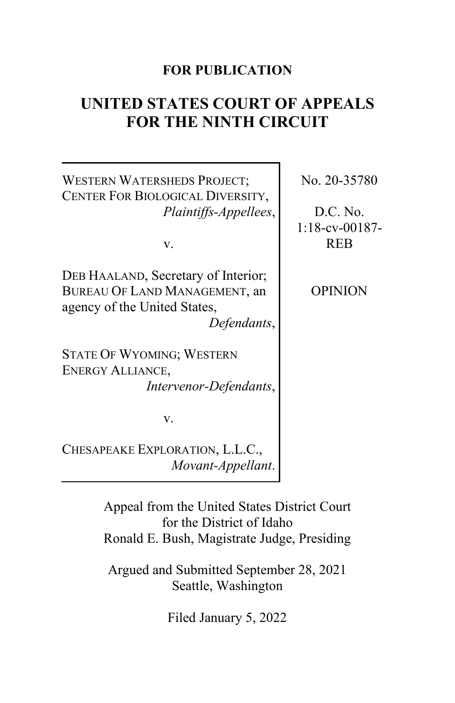#### **FOR PUBLICATION**

# **UNITED STATES COURT OF APPEALS FOR THE NINTH CIRCUIT**

## WESTERN WATERSHEDS PROJECT; CENTER FOR BIOLOGICAL DIVERSITY, *Plaintiffs-Appellees*,

v.

DEB HAALAND, Secretary of Interior; BUREAU OF LAND MANAGEMENT, an agency of the United States, *Defendants*,

STATE OF WYOMING; WESTERN ENERGY ALLIANCE, *Intervenor-Defendants*,

v.

CHESAPEAKE EXPLORATION, L.L.C., *Movant-Appellant*.

> Appeal from the United States District Court for the District of Idaho Ronald E. Bush, Magistrate Judge, Presiding

Argued and Submitted September 28, 2021 Seattle, Washington

Filed January 5, 2022

No. 20-35780

D.C. No. 1:18-cv-00187- REB

OPINION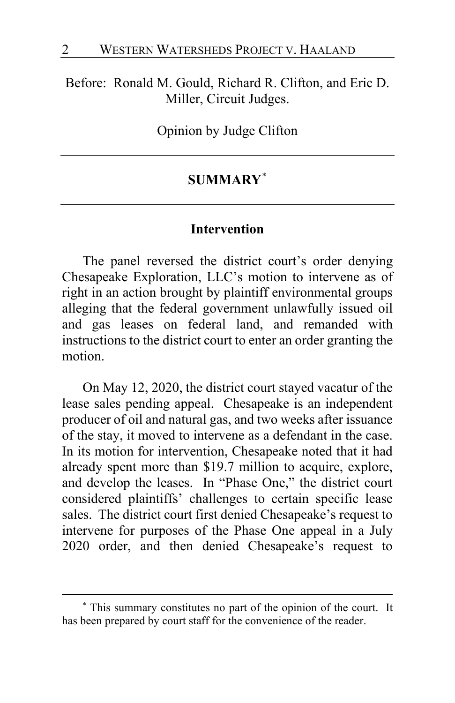#### Before: Ronald M. Gould, Richard R. Clifton, and Eric D. Miller, Circuit Judges.

Opinion by Judge Clifton

## **SUMMARY**[\\*](#page-1-0)

#### **Intervention**

The panel reversed the district court's order denying Chesapeake Exploration, LLC's motion to intervene as of right in an action brought by plaintiff environmental groups alleging that the federal government unlawfully issued oil and gas leases on federal land, and remanded with instructions to the district court to enter an order granting the motion.

On May 12, 2020, the district court stayed vacatur of the lease sales pending appeal. Chesapeake is an independent producer of oil and natural gas, and two weeks after issuance of the stay, it moved to intervene as a defendant in the case. In its motion for intervention, Chesapeake noted that it had already spent more than \$19.7 million to acquire, explore, and develop the leases. In "Phase One," the district court considered plaintiffs' challenges to certain specific lease sales. The district court first denied Chesapeake's request to intervene for purposes of the Phase One appeal in a July 2020 order, and then denied Chesapeake's request to

<span id="page-1-0"></span><sup>\*</sup> This summary constitutes no part of the opinion of the court. It has been prepared by court staff for the convenience of the reader.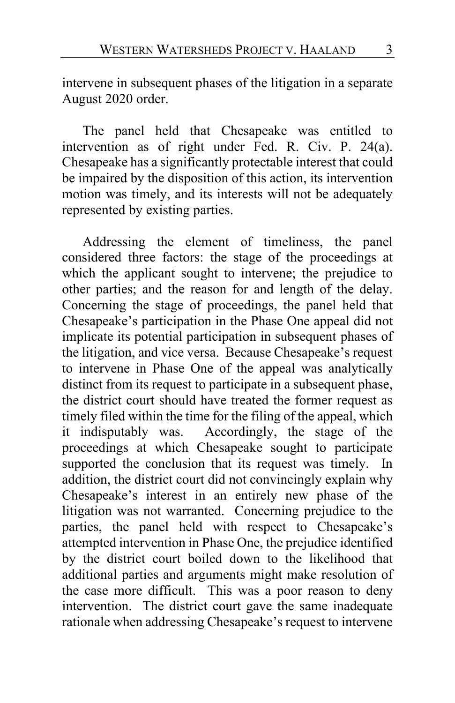intervene in subsequent phases of the litigation in a separate August 2020 order.

The panel held that Chesapeake was entitled to intervention as of right under Fed. R. Civ. P. 24(a). Chesapeake has a significantly protectable interest that could be impaired by the disposition of this action, its intervention motion was timely, and its interests will not be adequately represented by existing parties.

Addressing the element of timeliness, the panel considered three factors: the stage of the proceedings at which the applicant sought to intervene; the prejudice to other parties; and the reason for and length of the delay. Concerning the stage of proceedings, the panel held that Chesapeake's participation in the Phase One appeal did not implicate its potential participation in subsequent phases of the litigation, and vice versa. Because Chesapeake's request to intervene in Phase One of the appeal was analytically distinct from its request to participate in a subsequent phase, the district court should have treated the former request as timely filed within the time for the filing of the appeal, which it indisputably was. Accordingly, the stage of the proceedings at which Chesapeake sought to participate supported the conclusion that its request was timely. In addition, the district court did not convincingly explain why Chesapeake's interest in an entirely new phase of the litigation was not warranted. Concerning prejudice to the parties, the panel held with respect to Chesapeake's attempted intervention in Phase One, the prejudice identified by the district court boiled down to the likelihood that additional parties and arguments might make resolution of the case more difficult. This was a poor reason to deny intervention. The district court gave the same inadequate rationale when addressing Chesapeake's request to intervene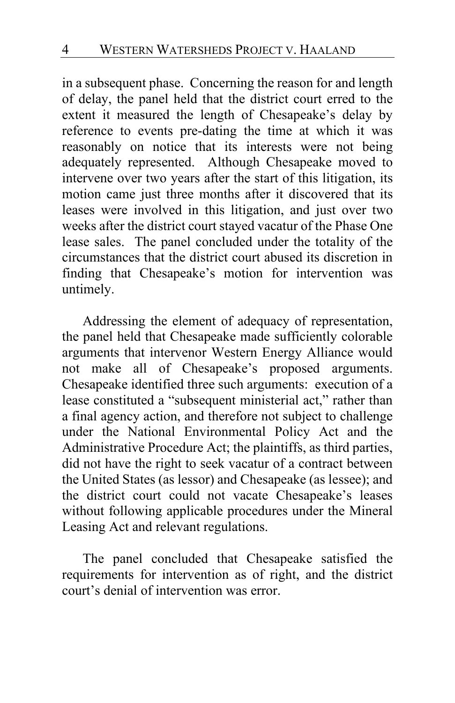in a subsequent phase. Concerning the reason for and length of delay, the panel held that the district court erred to the extent it measured the length of Chesapeake's delay by reference to events pre-dating the time at which it was reasonably on notice that its interests were not being adequately represented. Although Chesapeake moved to intervene over two years after the start of this litigation, its motion came just three months after it discovered that its leases were involved in this litigation, and just over two weeks after the district court stayed vacatur of the Phase One lease sales. The panel concluded under the totality of the circumstances that the district court abused its discretion in finding that Chesapeake's motion for intervention was untimely.

Addressing the element of adequacy of representation, the panel held that Chesapeake made sufficiently colorable arguments that intervenor Western Energy Alliance would not make all of Chesapeake's proposed arguments. Chesapeake identified three such arguments: execution of a lease constituted a "subsequent ministerial act," rather than a final agency action, and therefore not subject to challenge under the National Environmental Policy Act and the Administrative Procedure Act; the plaintiffs, as third parties, did not have the right to seek vacatur of a contract between the United States (as lessor) and Chesapeake (as lessee); and the district court could not vacate Chesapeake's leases without following applicable procedures under the Mineral Leasing Act and relevant regulations.

The panel concluded that Chesapeake satisfied the requirements for intervention as of right, and the district court's denial of intervention was error.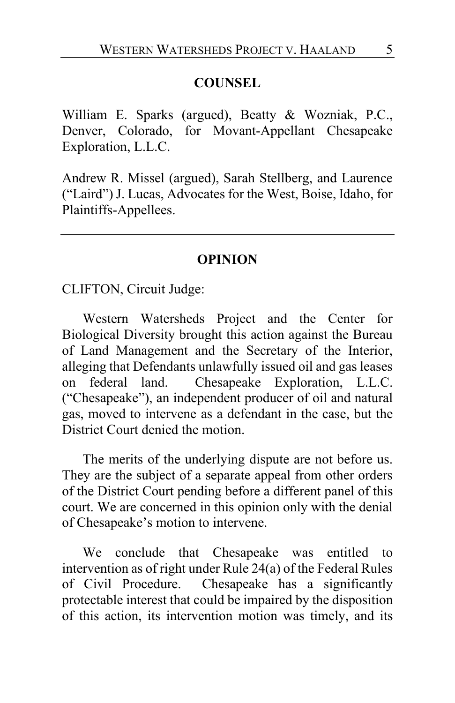#### **COUNSEL**

William E. Sparks (argued), Beatty & Wozniak, P.C., Denver, Colorado, for Movant-Appellant Chesapeake Exploration, L.L.C.

Andrew R. Missel (argued), Sarah Stellberg, and Laurence ("Laird") J. Lucas, Advocates for the West, Boise, Idaho, for Plaintiffs-Appellees.

#### **OPINION**

CLIFTON, Circuit Judge:

Western Watersheds Project and the Center for Biological Diversity brought this action against the Bureau of Land Management and the Secretary of the Interior, alleging that Defendants unlawfully issued oil and gas leases on federal land. Chesapeake Exploration, L.L.C. ("Chesapeake"), an independent producer of oil and natural gas, moved to intervene as a defendant in the case, but the District Court denied the motion.

The merits of the underlying dispute are not before us. They are the subject of a separate appeal from other orders of the District Court pending before a different panel of this court. We are concerned in this opinion only with the denial of Chesapeake's motion to intervene.

We conclude that Chesapeake was entitled to intervention as of right under Rule 24(a) of the Federal Rules of Civil Procedure. Chesapeake has a significantly protectable interest that could be impaired by the disposition of this action, its intervention motion was timely, and its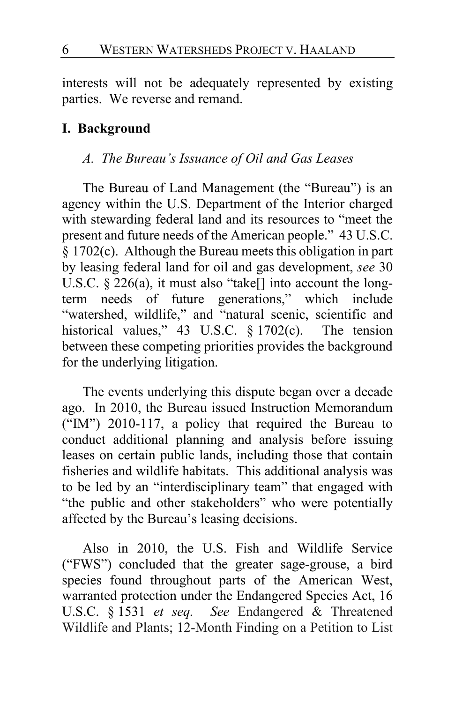interests will not be adequately represented by existing parties. We reverse and remand.

#### **I. Background**

#### *A. The Bureau's Issuance of Oil and Gas Leases*

The Bureau of Land Management (the "Bureau") is an agency within the U.S. Department of the Interior charged with stewarding federal land and its resources to "meet the present and future needs of the American people." 43 U.S.C. § 1702(c). Although the Bureau meets this obligation in part by leasing federal land for oil and gas development, *see* 30 U.S.C.  $\S 226(a)$ , it must also "take[] into account the longterm needs of future generations," which include "watershed, wildlife," and "natural scenic, scientific and historical values," 43 U.S.C. § 1702(c).The tension between these competing priorities provides the background for the underlying litigation.

The events underlying this dispute began over a decade ago. In 2010, the Bureau issued Instruction Memorandum ("IM") 2010-117, a policy that required the Bureau to conduct additional planning and analysis before issuing leases on certain public lands, including those that contain fisheries and wildlife habitats. This additional analysis was to be led by an "interdisciplinary team" that engaged with "the public and other stakeholders" who were potentially affected by the Bureau's leasing decisions.

Also in 2010, the U.S. Fish and Wildlife Service ("FWS") concluded that the greater sage-grouse, a bird species found throughout parts of the American West, warranted protection under the Endangered Species Act, 16 U.S.C. § 1531 *et seq. See* Endangered & Threatened Wildlife and Plants; 12-Month Finding on a Petition to List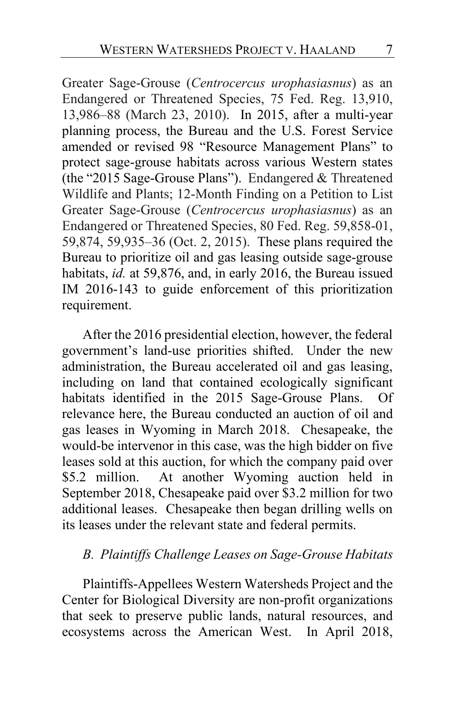Greater Sage-Grouse (*Centrocercus urophasiasnus*) as an Endangered or Threatened Species, 75 Fed. Reg. 13,910, 13,986–88 (March 23, 2010). In 2015, after a multi-year planning process, the Bureau and the U.S. Forest Service amended or revised 98 "Resource Management Plans" to protect sage-grouse habitats across various Western states (the "2015 Sage-Grouse Plans"). Endangered & Threatened Wildlife and Plants; 12-Month Finding on a Petition to List Greater Sage-Grouse (*Centrocercus urophasiasnus*) as an Endangered or Threatened Species, 80 Fed. Reg. 59,858-01, 59,874, 59,935–36 (Oct. 2, 2015). These plans required the Bureau to prioritize oil and gas leasing outside sage-grouse habitats, *id.* at 59,876, and, in early 2016, the Bureau issued IM 2016-143 to guide enforcement of this prioritization requirement.

After the 2016 presidential election, however, the federal government's land-use priorities shifted. Under the new administration, the Bureau accelerated oil and gas leasing, including on land that contained ecologically significant habitats identified in the 2015 Sage-Grouse Plans. Of relevance here, the Bureau conducted an auction of oil and gas leases in Wyoming in March 2018. Chesapeake, the would-be intervenor in this case, was the high bidder on five leases sold at this auction, for which the company paid over \$5.2 million. At another Wyoming auction held in September 2018, Chesapeake paid over \$3.2 million for two additional leases. Chesapeake then began drilling wells on its leases under the relevant state and federal permits.

#### *B. Plaintiffs Challenge Leases on Sage-Grouse Habitats*

Plaintiffs-Appellees Western Watersheds Project and the Center for Biological Diversity are non-profit organizations that seek to preserve public lands, natural resources, and ecosystems across the American West. In April 2018,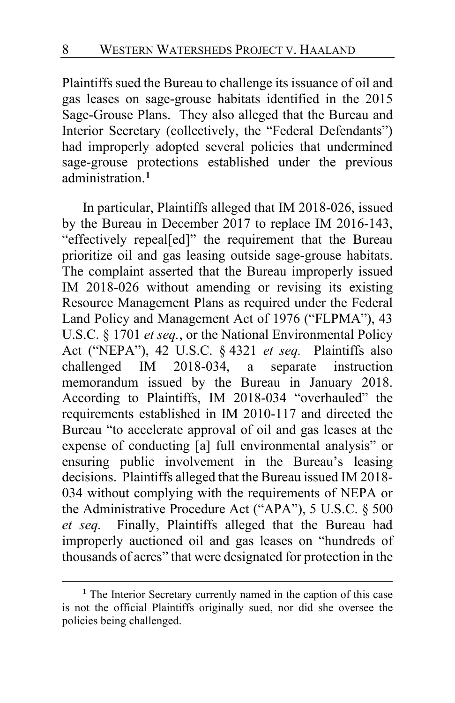Plaintiffs sued the Bureau to challenge its issuance of oil and gas leases on sage-grouse habitats identified in the 2015 Sage-Grouse Plans. They also alleged that the Bureau and Interior Secretary (collectively, the "Federal Defendants") had improperly adopted several policies that undermined sage-grouse protections established under the previous administration.**[1](#page-7-0)**

In particular, Plaintiffs alleged that IM 2018-026, issued by the Bureau in December 2017 to replace IM 2016-143, "effectively repeal[ed]" the requirement that the Bureau prioritize oil and gas leasing outside sage-grouse habitats. The complaint asserted that the Bureau improperly issued IM 2018-026 without amending or revising its existing Resource Management Plans as required under the Federal Land Policy and Management Act of 1976 ("FLPMA"), 43 U.S.C. § 1701 *et seq.*, or the National Environmental Policy Act ("NEPA"), 42 U.S.C. § 4321 *et seq.* Plaintiffs also challenged IM 2018-034, a separate instruction memorandum issued by the Bureau in January 2018. According to Plaintiffs, IM 2018-034 "overhauled" the requirements established in IM 2010-117 and directed the Bureau "to accelerate approval of oil and gas leases at the expense of conducting [a] full environmental analysis" or ensuring public involvement in the Bureau's leasing decisions. Plaintiffs alleged that the Bureau issued IM 2018- 034 without complying with the requirements of NEPA or the Administrative Procedure Act ("APA"), 5 U.S.C. § 500 *et seq.* Finally, Plaintiffs alleged that the Bureau had improperly auctioned oil and gas leases on "hundreds of thousands of acres" that were designated for protection in the

<span id="page-7-0"></span>**<sup>1</sup>** The Interior Secretary currently named in the caption of this case is not the official Plaintiffs originally sued, nor did she oversee the policies being challenged.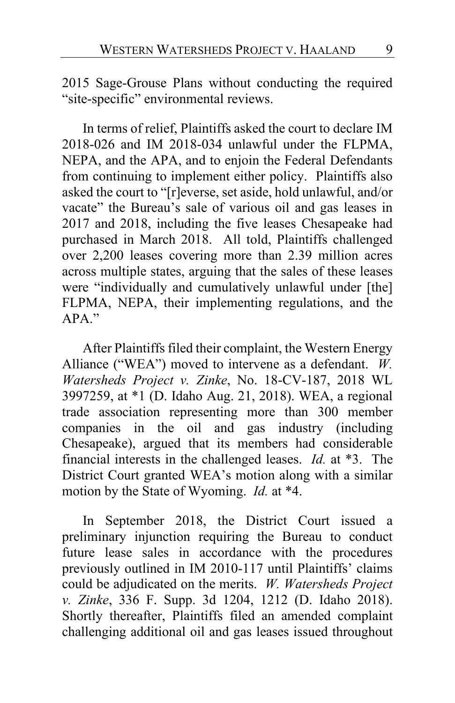2015 Sage-Grouse Plans without conducting the required "site-specific" environmental reviews.

In terms of relief, Plaintiffs asked the court to declare IM 2018-026 and IM 2018-034 unlawful under the FLPMA, NEPA, and the APA, and to enjoin the Federal Defendants from continuing to implement either policy. Plaintiffs also asked the court to "[r]everse, set aside, hold unlawful, and/or vacate" the Bureau's sale of various oil and gas leases in 2017 and 2018, including the five leases Chesapeake had purchased in March 2018. All told, Plaintiffs challenged over 2,200 leases covering more than 2.39 million acres across multiple states, arguing that the sales of these leases were "individually and cumulatively unlawful under [the] FLPMA, NEPA, their implementing regulations, and the APA."

After Plaintiffs filed their complaint, the Western Energy Alliance ("WEA") moved to intervene as a defendant. *W. Watersheds Project v. Zinke*, No. 18-CV-187, 2018 WL 3997259, at \*1 (D. Idaho Aug. 21, 2018). WEA, a regional trade association representing more than 300 member companies in the oil and gas industry (including Chesapeake), argued that its members had considerable financial interests in the challenged leases. *Id.* at \*3. The District Court granted WEA's motion along with a similar motion by the State of Wyoming. *Id.* at \*4.

In September 2018, the District Court issued a preliminary injunction requiring the Bureau to conduct future lease sales in accordance with the procedures previously outlined in IM 2010-117 until Plaintiffs' claims could be adjudicated on the merits. *W. Watersheds Project v. Zinke*, 336 F. Supp. 3d 1204, 1212 (D. Idaho 2018). Shortly thereafter, Plaintiffs filed an amended complaint challenging additional oil and gas leases issued throughout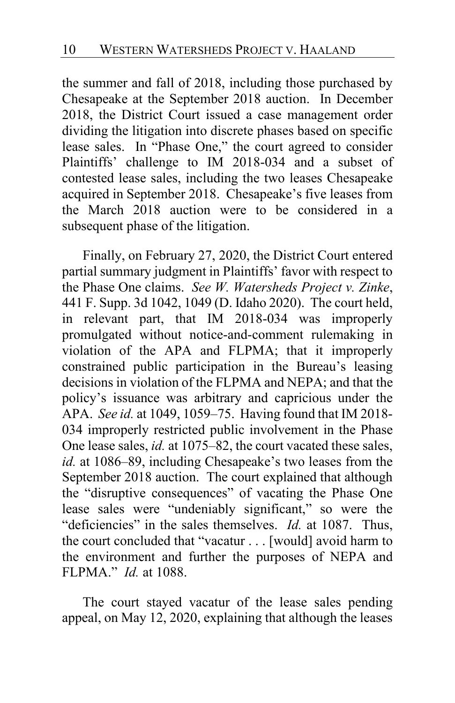the summer and fall of 2018, including those purchased by Chesapeake at the September 2018 auction. In December 2018, the District Court issued a case management order dividing the litigation into discrete phases based on specific lease sales. In "Phase One," the court agreed to consider Plaintiffs' challenge to IM 2018-034 and a subset of contested lease sales, including the two leases Chesapeake acquired in September 2018. Chesapeake's five leases from the March 2018 auction were to be considered in a subsequent phase of the litigation.

Finally, on February 27, 2020, the District Court entered partial summary judgment in Plaintiffs' favor with respect to the Phase One claims. *See W. Watersheds Project v. Zinke*, 441 F. Supp. 3d 1042, 1049 (D. Idaho 2020). The court held, in relevant part, that IM 2018-034 was improperly promulgated without notice-and-comment rulemaking in violation of the APA and FLPMA; that it improperly constrained public participation in the Bureau's leasing decisions in violation of the FLPMA and NEPA; and that the policy's issuance was arbitrary and capricious under the APA. *See id.* at 1049, 1059–75. Having found that IM 2018- 034 improperly restricted public involvement in the Phase One lease sales, *id.* at 1075–82, the court vacated these sales, *id.* at 1086–89, including Chesapeake's two leases from the September 2018 auction. The court explained that although the "disruptive consequences" of vacating the Phase One lease sales were "undeniably significant," so were the "deficiencies" in the sales themselves. *Id.* at 1087. Thus, the court concluded that "vacatur . . . [would] avoid harm to the environment and further the purposes of NEPA and FLPMA." *Id.* at 1088.

The court stayed vacatur of the lease sales pending appeal, on May 12, 2020, explaining that although the leases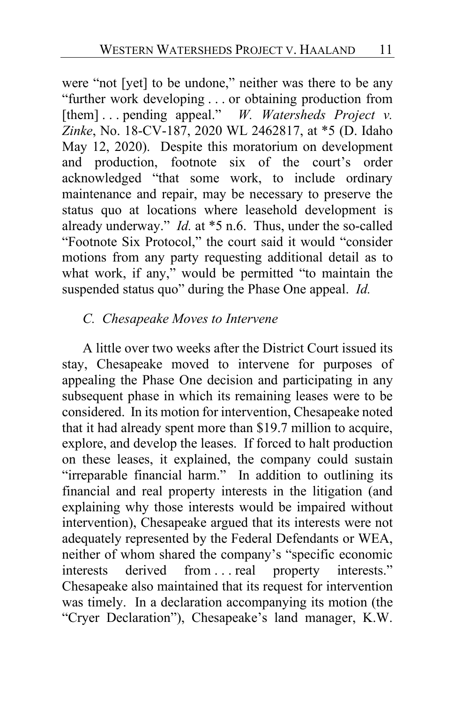were "not [yet] to be undone," neither was there to be any "further work developing . . . or obtaining production from [them] . . . pending appeal." *W. Watersheds Project v. Zinke*, No. 18-CV-187, 2020 WL 2462817, at \*5 (D. Idaho May 12, 2020). Despite this moratorium on development and production, footnote six of the court's order acknowledged "that some work, to include ordinary maintenance and repair, may be necessary to preserve the status quo at locations where leasehold development is already underway." *Id.* at \*5 n.6. Thus, under the so-called "Footnote Six Protocol," the court said it would "consider motions from any party requesting additional detail as to what work, if any," would be permitted "to maintain the suspended status quo" during the Phase One appeal. *Id.*

### *C. Chesapeake Moves to Intervene*

A little over two weeks after the District Court issued its stay, Chesapeake moved to intervene for purposes of appealing the Phase One decision and participating in any subsequent phase in which its remaining leases were to be considered. In its motion for intervention, Chesapeake noted that it had already spent more than \$19.7 million to acquire, explore, and develop the leases. If forced to halt production on these leases, it explained, the company could sustain "irreparable financial harm." In addition to outlining its financial and real property interests in the litigation (and explaining why those interests would be impaired without intervention), Chesapeake argued that its interests were not adequately represented by the Federal Defendants or WEA, neither of whom shared the company's "specific economic interests derived from . . . real property interests." Chesapeake also maintained that its request for intervention was timely. In a declaration accompanying its motion (the "Cryer Declaration"), Chesapeake's land manager, K.W.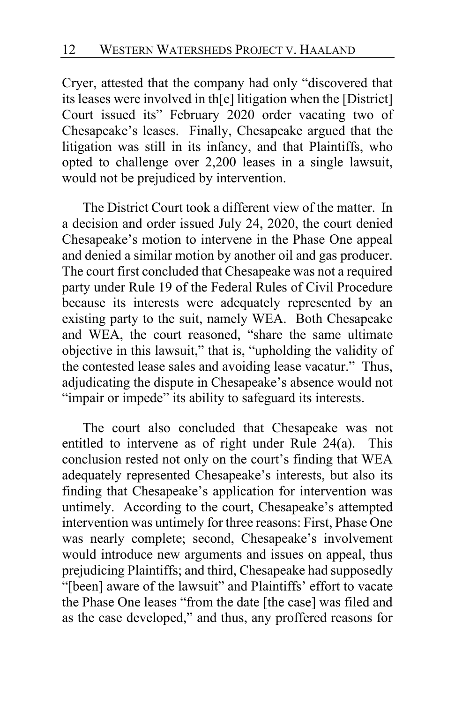Cryer, attested that the company had only "discovered that its leases were involved in th[e] litigation when the [District] Court issued its" February 2020 order vacating two of Chesapeake's leases. Finally, Chesapeake argued that the litigation was still in its infancy, and that Plaintiffs, who opted to challenge over 2,200 leases in a single lawsuit, would not be prejudiced by intervention.

The District Court took a different view of the matter. In a decision and order issued July 24, 2020, the court denied Chesapeake's motion to intervene in the Phase One appeal and denied a similar motion by another oil and gas producer. The court first concluded that Chesapeake was not a required party under Rule 19 of the Federal Rules of Civil Procedure because its interests were adequately represented by an existing party to the suit, namely WEA. Both Chesapeake and WEA, the court reasoned, "share the same ultimate objective in this lawsuit," that is, "upholding the validity of the contested lease sales and avoiding lease vacatur." Thus, adjudicating the dispute in Chesapeake's absence would not "impair or impede" its ability to safeguard its interests.

The court also concluded that Chesapeake was not entitled to intervene as of right under Rule 24(a). This conclusion rested not only on the court's finding that WEA adequately represented Chesapeake's interests, but also its finding that Chesapeake's application for intervention was untimely. According to the court, Chesapeake's attempted intervention was untimely for three reasons: First, Phase One was nearly complete; second, Chesapeake's involvement would introduce new arguments and issues on appeal, thus prejudicing Plaintiffs; and third, Chesapeake had supposedly "[been] aware of the lawsuit" and Plaintiffs' effort to vacate the Phase One leases "from the date [the case] was filed and as the case developed," and thus, any proffered reasons for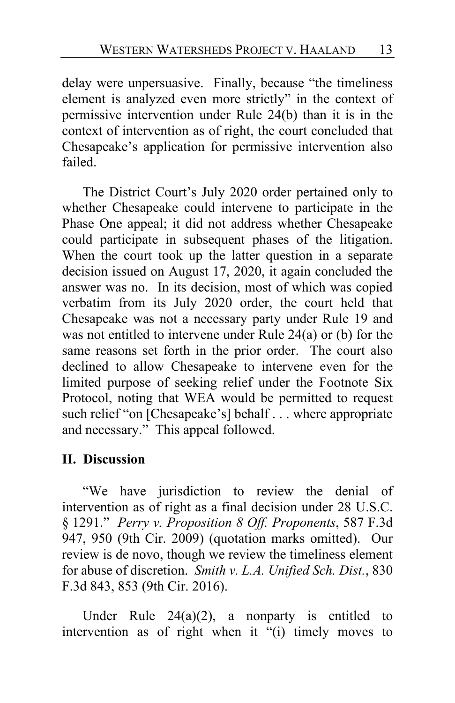delay were unpersuasive. Finally, because "the timeliness element is analyzed even more strictly" in the context of permissive intervention under Rule 24(b) than it is in the context of intervention as of right, the court concluded that Chesapeake's application for permissive intervention also failed.

The District Court's July 2020 order pertained only to whether Chesapeake could intervene to participate in the Phase One appeal; it did not address whether Chesapeake could participate in subsequent phases of the litigation. When the court took up the latter question in a separate decision issued on August 17, 2020, it again concluded the answer was no. In its decision, most of which was copied verbatim from its July 2020 order, the court held that Chesapeake was not a necessary party under Rule 19 and was not entitled to intervene under Rule 24(a) or (b) for the same reasons set forth in the prior order. The court also declined to allow Chesapeake to intervene even for the limited purpose of seeking relief under the Footnote Six Protocol, noting that WEA would be permitted to request such relief "on [Chesapeake's] behalf . . . where appropriate and necessary." This appeal followed.

#### **II. Discussion**

"We have jurisdiction to review the denial of intervention as of right as a final decision under 28 U.S.C. § 1291." *Perry v. Proposition 8 Off. Proponents*, 587 F.3d 947, 950 (9th Cir. 2009) (quotation marks omitted). Our review is de novo, though we review the timeliness element for abuse of discretion. *Smith v. L.A. Unified Sch. Dist.*, 830 F.3d 843, 853 (9th Cir. 2016).

Under Rule  $24(a)(2)$ , a nonparty is entitled to intervention as of right when it "(i) timely moves to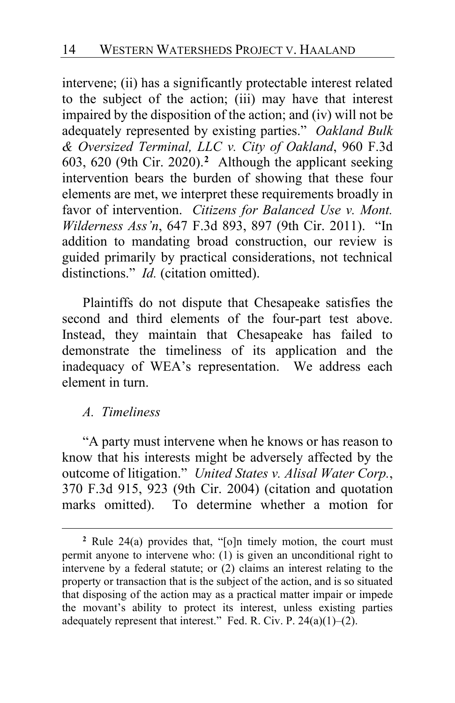intervene; (ii) has a significantly protectable interest related to the subject of the action; (iii) may have that interest impaired by the disposition of the action; and (iv) will not be adequately represented by existing parties." *Oakland Bulk & Oversized Terminal, LLC v. City of Oakland*, 960 F.3d 603, 620 (9th Cir. 2020).**[2](#page-13-0)** Although the applicant seeking intervention bears the burden of showing that these four elements are met, we interpret these requirements broadly in favor of intervention. *Citizens for Balanced Use v. Mont. Wilderness Ass'n*, 647 F.3d 893, 897 (9th Cir. 2011). "In addition to mandating broad construction, our review is guided primarily by practical considerations, not technical distinctions." *Id.* (citation omitted).

Plaintiffs do not dispute that Chesapeake satisfies the second and third elements of the four-part test above. Instead, they maintain that Chesapeake has failed to demonstrate the timeliness of its application and the inadequacy of WEA's representation. We address each element in turn.

#### *A. Timeliness*

"A party must intervene when he knows or has reason to know that his interests might be adversely affected by the outcome of litigation." *United States v. Alisal Water Corp.*, 370 F.3d 915, 923 (9th Cir. 2004) (citation and quotation marks omitted). To determine whether a motion for

<span id="page-13-0"></span>**<sup>2</sup>** Rule 24(a) provides that, "[o]n timely motion, the court must permit anyone to intervene who: (1) is given an unconditional right to intervene by a federal statute; or (2) claims an interest relating to the property or transaction that is the subject of the action, and is so situated that disposing of the action may as a practical matter impair or impede the movant's ability to protect its interest, unless existing parties adequately represent that interest." Fed. R. Civ. P.  $24(a)(1)$ – $(2)$ .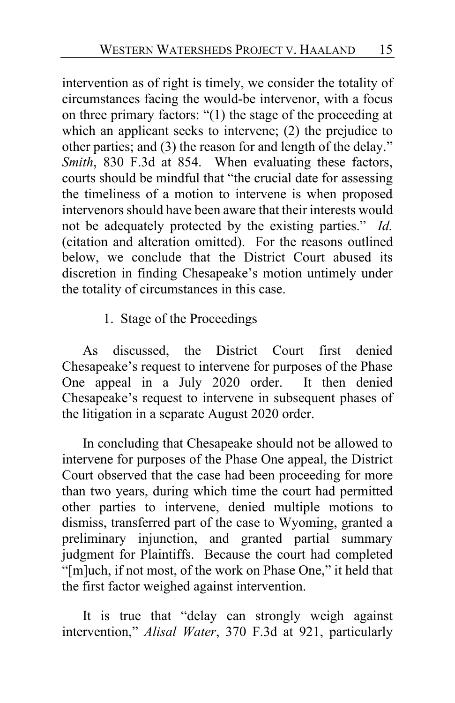intervention as of right is timely, we consider the totality of circumstances facing the would-be intervenor, with a focus on three primary factors: "(1) the stage of the proceeding at which an applicant seeks to intervene; (2) the prejudice to other parties; and (3) the reason for and length of the delay." *Smith*, 830 F.3d at 854. When evaluating these factors, courts should be mindful that "the crucial date for assessing the timeliness of a motion to intervene is when proposed intervenors should have been aware that their interests would not be adequately protected by the existing parties." *Id.* (citation and alteration omitted). For the reasons outlined below, we conclude that the District Court abused its discretion in finding Chesapeake's motion untimely under the totality of circumstances in this case.

1. Stage of the Proceedings

As discussed, the District Court first denied Chesapeake's request to intervene for purposes of the Phase One appeal in a July 2020 order. It then denied Chesapeake's request to intervene in subsequent phases of the litigation in a separate August 2020 order.

In concluding that Chesapeake should not be allowed to intervene for purposes of the Phase One appeal, the District Court observed that the case had been proceeding for more than two years, during which time the court had permitted other parties to intervene, denied multiple motions to dismiss, transferred part of the case to Wyoming, granted a preliminary injunction, and granted partial summary judgment for Plaintiffs. Because the court had completed "[m]uch, if not most, of the work on Phase One," it held that the first factor weighed against intervention.

It is true that "delay can strongly weigh against intervention," *Alisal Water*, 370 F.3d at 921, particularly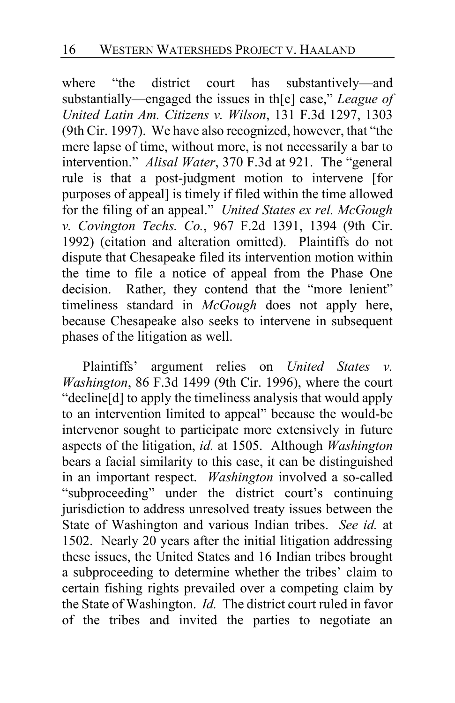where "the district court has substantively—and substantially—engaged the issues in th[e] case," *League of United Latin Am. Citizens v. Wilson*, 131 F.3d 1297, 1303 (9th Cir. 1997). We have also recognized, however, that "the mere lapse of time, without more, is not necessarily a bar to intervention." *Alisal Water*, 370 F.3d at 921. The "general rule is that a post-judgment motion to intervene [for purposes of appeal] is timely if filed within the time allowed for the filing of an appeal." *United States ex rel. McGough v. Covington Techs. Co.*, 967 F.2d 1391, 1394 (9th Cir. 1992) (citation and alteration omitted). Plaintiffs do not dispute that Chesapeake filed its intervention motion within the time to file a notice of appeal from the Phase One decision. Rather, they contend that the "more lenient" timeliness standard in *McGough* does not apply here, because Chesapeake also seeks to intervene in subsequent phases of the litigation as well.

<span id="page-15-0"></span>Plaintiffs' argument relies on *United States v. Washington*, 86 F.3d 1499 (9th Cir. 1996), where the court "decline[d] to apply the timeliness analysis that would apply to an intervention limited to appeal" because the would-be intervenor sought to participate more extensively in future aspects of the litigation, *id.* at 1505. Although *Washington* bears a facial similarity to this case, it can be distinguished in an important respect. *Washington* involved a so-called "subproceeding" under the district court's continuing jurisdiction to address unresolved treaty issues between the State of Washington and various Indian tribes. *See id.* at 1502. Nearly 20 years after the initial litigation addressing these issues, the United States and 16 Indian tribes brought a subproceeding to determine whether the tribes' claim to certain fishing rights prevailed over a competing claim by the State of Washington. *Id.* The district court ruled in favor of the tribes and invited the parties to negotiate an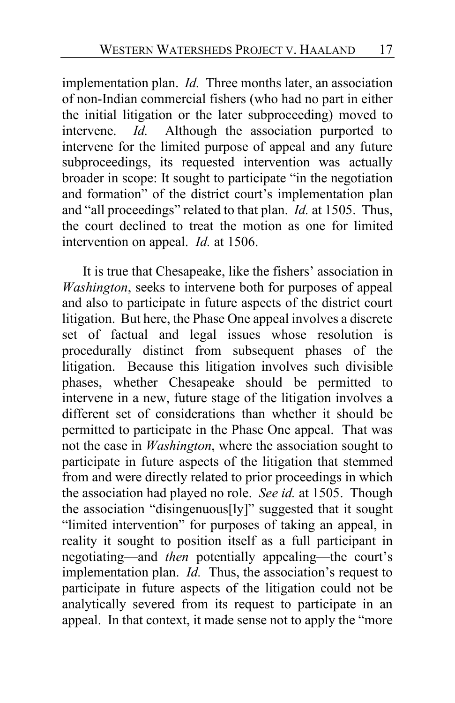implementation plan. *Id.* Three months later, an association of non-Indian commercial fishers (who had no part in either the initial litigation or the later subproceeding) moved to intervene. *Id.* Although the association purported to intervene for the limited purpose of appeal and any future subproceedings, its requested intervention was actually broader in scope: It sought to participate "in the negotiation and formation" of the district court's implementation plan and "all proceedings" related to that plan. *Id.* at 1505. Thus, the court declined to treat the motion as one for limited intervention on appeal. *Id.* at 1506.

It is true that Chesapeake, like the fishers' association in *Washington*, seeks to intervene both for purposes of appeal and also to participate in future aspects of the district court litigation. But here, the Phase One appeal involves a discrete set of factual and legal issues whose resolution is procedurally distinct from subsequent phases of the litigation. Because this litigation involves such divisible phases, whether Chesapeake should be permitted to intervene in a new, future stage of the litigation involves a different set of considerations than whether it should be permitted to participate in the Phase One appeal. That was not the case in *Washington*, where the association sought to participate in future aspects of the litigation that stemmed from and were directly related to prior proceedings in which the association had played no role. *See id.* at 1505. Though the association "disingenuous[ly]" suggested that it sought "limited intervention" for purposes of taking an appeal, in reality it sought to position itself as a full participant in negotiating—and *then* potentially appealing—the court's implementation plan. *Id.* Thus, the association's request to participate in future aspects of the litigation could not be analytically severed from its request to participate in an appeal. In that context, it made sense not to apply the "more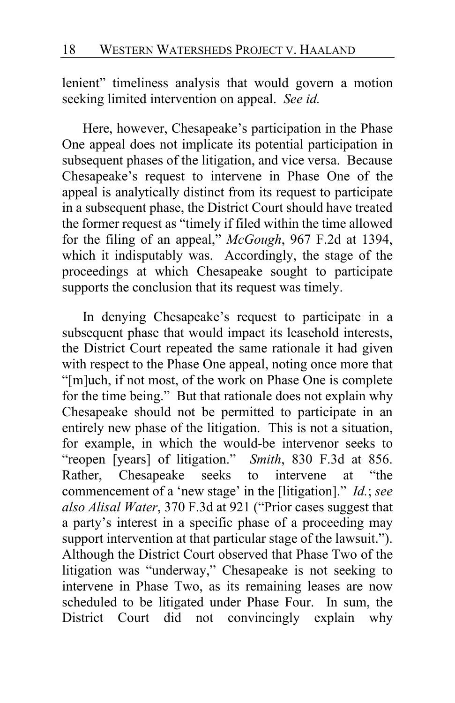lenient" timeliness analysis that would govern a motion seeking limited intervention on appeal. *See id.*

Here, however, Chesapeake's participation in the Phase One appeal does not implicate its potential participation in subsequent phases of the litigation, and vice versa. Because Chesapeake's request to intervene in Phase One of the appeal is analytically distinct from its request to participate in a subsequent phase, the District Court should have treated the former request as "timely if filed within the time allowed for the filing of an appeal," *McGough*, 967 F.2d at 1394, which it indisputably was. Accordingly, the stage of the proceedings at which Chesapeake sought to participate supports the conclusion that its request was timely.

In denying Chesapeake's request to participate in a subsequent phase that would impact its leasehold interests, the District Court repeated the same rationale it had given with respect to the Phase One appeal, noting once more that "[m]uch, if not most, of the work on Phase One is complete for the time being." But that rationale does not explain why Chesapeake should not be permitted to participate in an entirely new phase of the litigation. This is not a situation, for example, in which the would-be intervenor seeks to "reopen [years] of litigation." *Smith*, 830 F.3d at 856. Rather, Chesapeake seeks to intervene at "the commencement of a 'new stage' in the [litigation]." *Id.*; *see also Alisal Water*, 370 F.3d at 921 ("Prior cases suggest that a party's interest in a specific phase of a proceeding may support intervention at that particular stage of the lawsuit."). Although the District Court observed that Phase Two of the litigation was "underway," Chesapeake is not seeking to intervene in Phase Two, as its remaining leases are now scheduled to be litigated under Phase Four. In sum, the District Court did not convincingly explain why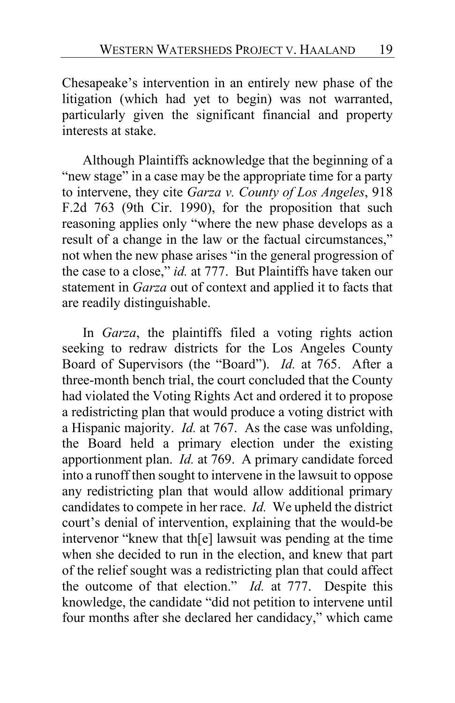Chesapeake's intervention in an entirely new phase of the litigation (which had yet to begin) was not warranted, particularly given the significant financial and property interests at stake.

<span id="page-18-0"></span>Although Plaintiffs acknowledge that the beginning of a "new stage" in a case may be the appropriate time for a party to intervene, they cite *Garza v. County of Los Angeles*, 918 F.2d 763 (9th Cir. 1990), for the proposition that such reasoning applies only "where the new phase develops as a result of a change in the law or the factual circumstances," not when the new phase arises "in the general progression of the case to a close," *id.* at 777. But Plaintiffs have taken our statement in *Garza* out of context and applied it to facts that are readily distinguishable.

In *Garza*, the plaintiffs filed a voting rights action seeking to redraw districts for the Los Angeles County Board of Supervisors (the "Board"). *Id.* at 765. After a three-month bench trial, the court concluded that the County had violated the Voting Rights Act and ordered it to propose a redistricting plan that would produce a voting district with a Hispanic majority. *Id.* at 767. As the case was unfolding, the Board held a primary election under the existing apportionment plan. *Id.* at 769. A primary candidate forced into a runoff then sought to intervene in the lawsuit to oppose any redistricting plan that would allow additional primary candidates to compete in her race. *Id.* We upheld the district court's denial of intervention, explaining that the would-be intervenor "knew that th[e] lawsuit was pending at the time when she decided to run in the election, and knew that part of the relief sought was a redistricting plan that could affect the outcome of that election." *Id.* at 777. Despite this knowledge, the candidate "did not petition to intervene until four months after she declared her candidacy," which came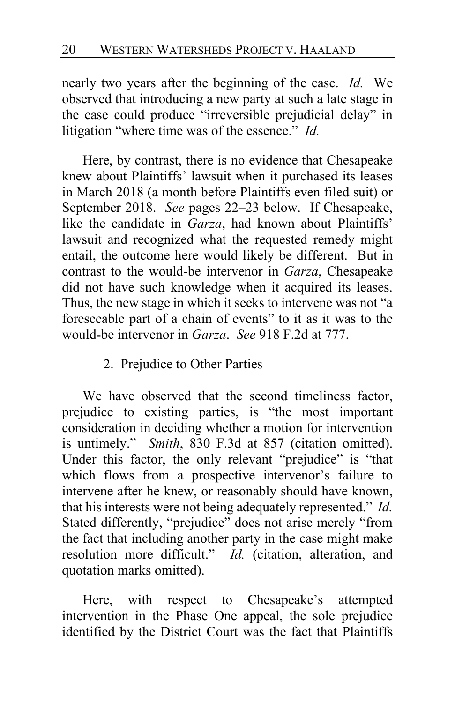nearly two years after the beginning of the case. *Id.* We observed that introducing a new party at such a late stage in the case could produce "irreversible prejudicial delay" in litigation "where time was of the essence." *Id.*

Here, by contrast, there is no evidence that Chesapeake knew about Plaintiffs' lawsuit when it purchased its leases in March 2018 (a month before Plaintiffs even filed suit) or September 2018. *See* pages [22–](#page-21-0)[23](#page-22-0) below.If Chesapeake, like the candidate in *Garza*, had known about Plaintiffs' lawsuit and recognized what the requested remedy might entail, the outcome here would likely be different. But in contrast to the would-be intervenor in *Garza*, Chesapeake did not have such knowledge when it acquired its leases. Thus, the new stage in which it seeks to intervene was not "a foreseeable part of a chain of events" to it as it was to the would-be intervenor in *Garza*. *See* 918 F.2d at 777.

#### 2. Prejudice to Other Parties

We have observed that the second timeliness factor, prejudice to existing parties, is "the most important consideration in deciding whether a motion for intervention is untimely." *Smith*, 830 F.3d at 857 (citation omitted). Under this factor, the only relevant "prejudice" is "that which flows from a prospective intervenor's failure to intervene after he knew, or reasonably should have known, that his interests were not being adequately represented." *Id.* Stated differently, "prejudice" does not arise merely "from the fact that including another party in the case might make resolution more difficult." *Id.* (citation, alteration, and quotation marks omitted).

Here, with respect to Chesapeake's attempted intervention in the Phase One appeal, the sole prejudice identified by the District Court was the fact that Plaintiffs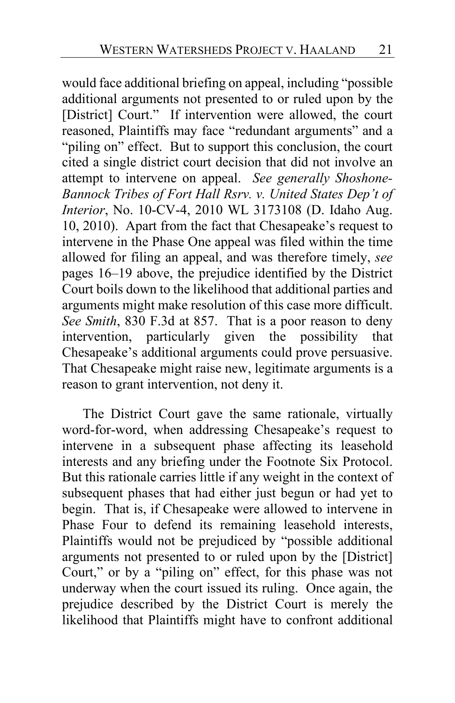would face additional briefing on appeal, including "possible additional arguments not presented to or ruled upon by the [District] Court." If intervention were allowed, the court reasoned, Plaintiffs may face "redundant arguments" and a "piling on" effect. But to support this conclusion, the court cited a single district court decision that did not involve an attempt to intervene on appeal. *See generally Shoshone-Bannock Tribes of Fort Hall Rsrv. v. United States Dep't of Interior*, No. 10-CV-4, 2010 WL 3173108 (D. Idaho Aug. 10, 2010). Apart from the fact that Chesapeake's request to intervene in the Phase One appeal was filed within the time allowed for filing an appeal, and was therefore timely, *see*  pages [16](#page-15-0)[–19](#page-18-0) above, the prejudice identified by the District Court boils down to the likelihood that additional parties and arguments might make resolution of this case more difficult. *See Smith*, 830 F.3d at 857. That is a poor reason to deny intervention, particularly given the possibility that Chesapeake's additional arguments could prove persuasive. That Chesapeake might raise new, legitimate arguments is a reason to grant intervention, not deny it.

The District Court gave the same rationale, virtually word-for-word, when addressing Chesapeake's request to intervene in a subsequent phase affecting its leasehold interests and any briefing under the Footnote Six Protocol. But this rationale carries little if any weight in the context of subsequent phases that had either just begun or had yet to begin. That is, if Chesapeake were allowed to intervene in Phase Four to defend its remaining leasehold interests, Plaintiffs would not be prejudiced by "possible additional arguments not presented to or ruled upon by the [District] Court," or by a "piling on" effect, for this phase was not underway when the court issued its ruling. Once again, the prejudice described by the District Court is merely the likelihood that Plaintiffs might have to confront additional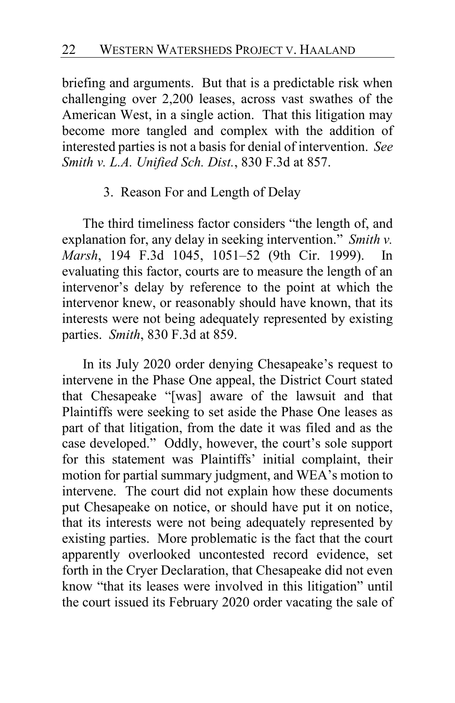briefing and arguments. But that is a predictable risk when challenging over 2,200 leases, across vast swathes of the American West, in a single action. That this litigation may become more tangled and complex with the addition of interested parties is not a basis for denial of intervention. *See Smith v. L.A. Unified Sch. Dist.*, 830 F.3d at 857.

#### 3. Reason For and Length of Delay

The third timeliness factor considers "the length of, and explanation for, any delay in seeking intervention." *Smith v. Marsh*, 194 F.3d 1045, 1051–52 (9th Cir. 1999). In evaluating this factor, courts are to measure the length of an intervenor's delay by reference to the point at which the intervenor knew, or reasonably should have known, that its interests were not being adequately represented by existing parties. *Smith*, 830 F.3d at 859.

<span id="page-21-0"></span>In its July 2020 order denying Chesapeake's request to intervene in the Phase One appeal, the District Court stated that Chesapeake "[was] aware of the lawsuit and that Plaintiffs were seeking to set aside the Phase One leases as part of that litigation, from the date it was filed and as the case developed." Oddly, however, the court's sole support for this statement was Plaintiffs' initial complaint, their motion for partial summary judgment, and WEA's motion to intervene. The court did not explain how these documents put Chesapeake on notice, or should have put it on notice, that its interests were not being adequately represented by existing parties. More problematic is the fact that the court apparently overlooked uncontested record evidence, set forth in the Cryer Declaration, that Chesapeake did not even know "that its leases were involved in this litigation" until the court issued its February 2020 order vacating the sale of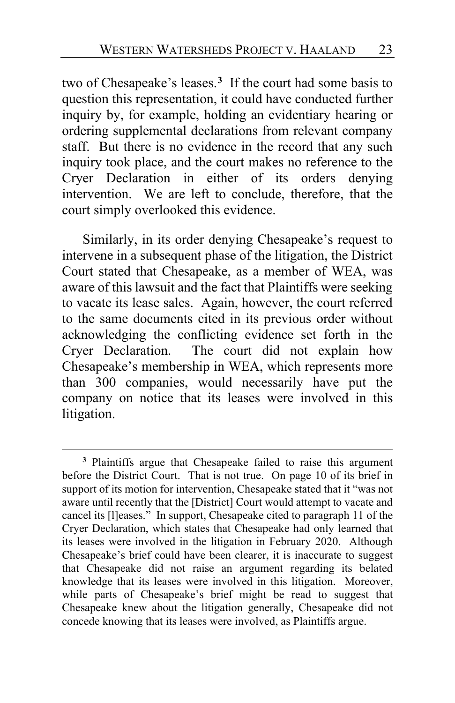two of Chesapeake's leases.**[3](#page-22-1)** If the court had some basis to question this representation, it could have conducted further inquiry by, for example, holding an evidentiary hearing or ordering supplemental declarations from relevant company staff. But there is no evidence in the record that any such inquiry took place, and the court makes no reference to the Cryer Declaration in either of its orders denying intervention. We are left to conclude, therefore, that the court simply overlooked this evidence.

<span id="page-22-0"></span>Similarly, in its order denying Chesapeake's request to intervene in a subsequent phase of the litigation, the District Court stated that Chesapeake, as a member of WEA, was aware of this lawsuit and the fact that Plaintiffs were seeking to vacate its lease sales. Again, however, the court referred to the same documents cited in its previous order without acknowledging the conflicting evidence set forth in the Cryer Declaration. The court did not explain how Chesapeake's membership in WEA, which represents more than 300 companies, would necessarily have put the company on notice that its leases were involved in this litigation.

<span id="page-22-1"></span>**<sup>3</sup>** Plaintiffs argue that Chesapeake failed to raise this argument before the District Court. That is not true. On page 10 of its brief in support of its motion for intervention, Chesapeake stated that it "was not aware until recently that the [District] Court would attempt to vacate and cancel its [l]eases." In support, Chesapeake cited to paragraph 11 of the Cryer Declaration, which states that Chesapeake had only learned that its leases were involved in the litigation in February 2020. Although Chesapeake's brief could have been clearer, it is inaccurate to suggest that Chesapeake did not raise an argument regarding its belated knowledge that its leases were involved in this litigation. Moreover, while parts of Chesapeake's brief might be read to suggest that Chesapeake knew about the litigation generally, Chesapeake did not concede knowing that its leases were involved, as Plaintiffs argue.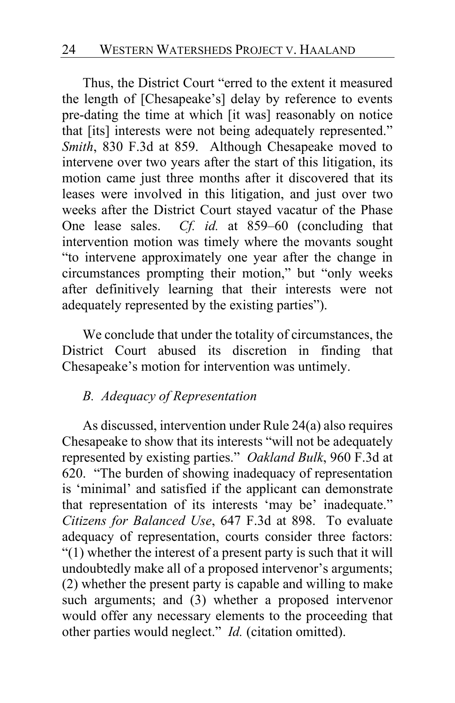Thus, the District Court "erred to the extent it measured the length of [Chesapeake's] delay by reference to events pre-dating the time at which [it was] reasonably on notice that [its] interests were not being adequately represented." *Smith*, 830 F.3d at 859. Although Chesapeake moved to intervene over two years after the start of this litigation, its motion came just three months after it discovered that its leases were involved in this litigation, and just over two weeks after the District Court stayed vacatur of the Phase One lease sales. *Cf. id.* at 859–60 (concluding that intervention motion was timely where the movants sought "to intervene approximately one year after the change in circumstances prompting their motion," but "only weeks after definitively learning that their interests were not adequately represented by the existing parties").

We conclude that under the totality of circumstances, the District Court abused its discretion in finding that Chesapeake's motion for intervention was untimely.

## *B. Adequacy of Representation*

As discussed, intervention under Rule 24(a) also requires Chesapeake to show that its interests "will not be adequately represented by existing parties." *Oakland Bulk*, 960 F.3d at 620. "The burden of showing inadequacy of representation is 'minimal' and satisfied if the applicant can demonstrate that representation of its interests 'may be' inadequate." *Citizens for Balanced Use*, 647 F.3d at 898. To evaluate adequacy of representation, courts consider three factors: "(1) whether the interest of a present party is such that it will undoubtedly make all of a proposed intervenor's arguments; (2) whether the present party is capable and willing to make such arguments; and (3) whether a proposed intervenor would offer any necessary elements to the proceeding that other parties would neglect." *Id.* (citation omitted).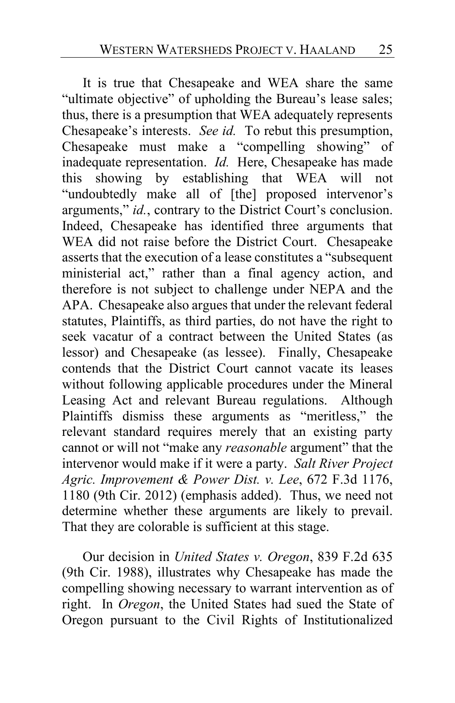It is true that Chesapeake and WEA share the same "ultimate objective" of upholding the Bureau's lease sales; thus, there is a presumption that WEA adequately represents Chesapeake's interests. *See id.* To rebut this presumption, Chesapeake must make a "compelling showing" of inadequate representation. *Id.* Here, Chesapeake has made this showing by establishing that WEA will not "undoubtedly make all of [the] proposed intervenor's arguments," *id.*, contrary to the District Court's conclusion. Indeed, Chesapeake has identified three arguments that WEA did not raise before the District Court. Chesapeake asserts that the execution of a lease constitutes a "subsequent ministerial act," rather than a final agency action, and therefore is not subject to challenge under NEPA and the APA. Chesapeake also argues that under the relevant federal statutes, Plaintiffs, as third parties, do not have the right to seek vacatur of a contract between the United States (as lessor) and Chesapeake (as lessee). Finally, Chesapeake contends that the District Court cannot vacate its leases without following applicable procedures under the Mineral Leasing Act and relevant Bureau regulations. Although Plaintiffs dismiss these arguments as "meritless," the relevant standard requires merely that an existing party cannot or will not "make any *reasonable* argument" that the intervenor would make if it were a party. *Salt River Project Agric. Improvement & Power Dist. v. Lee*, 672 F.3d 1176, 1180 (9th Cir. 2012) (emphasis added). Thus, we need not determine whether these arguments are likely to prevail. That they are colorable is sufficient at this stage.

Our decision in *United States v. Oregon*, 839 F.2d 635 (9th Cir. 1988), illustrates why Chesapeake has made the compelling showing necessary to warrant intervention as of right. In *Oregon*, the United States had sued the State of Oregon pursuant to the Civil Rights of Institutionalized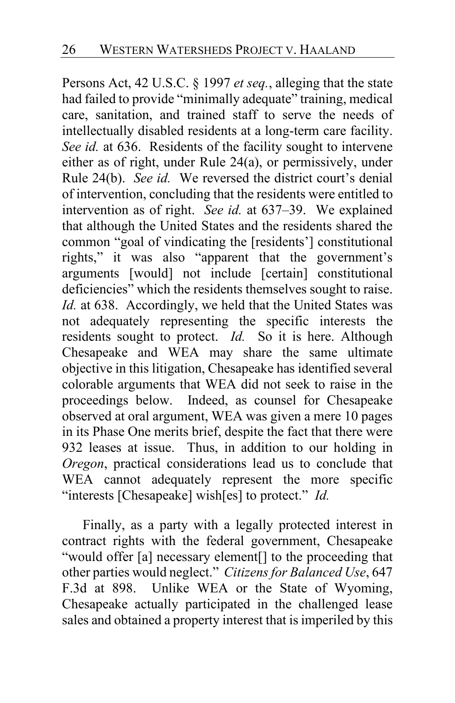Persons Act, 42 U.S.C. § 1997 *et seq.*, alleging that the state had failed to provide "minimally adequate" training, medical care, sanitation, and trained staff to serve the needs of intellectually disabled residents at a long-term care facility. *See id.* at 636. Residents of the facility sought to intervene either as of right, under Rule 24(a), or permissively, under Rule 24(b). *See id.* We reversed the district court's denial of intervention, concluding that the residents were entitled to intervention as of right. *See id.* at 637–39. We explained that although the United States and the residents shared the common "goal of vindicating the [residents'] constitutional rights," it was also "apparent that the government's arguments [would] not include [certain] constitutional deficiencies" which the residents themselves sought to raise. *Id.* at 638. Accordingly, we held that the United States was not adequately representing the specific interests the residents sought to protect. *Id.* So it is here. Although Chesapeake and WEA may share the same ultimate objective in this litigation, Chesapeake has identified several colorable arguments that WEA did not seek to raise in the proceedings below. Indeed, as counsel for Chesapeake observed at oral argument, WEA was given a mere 10 pages in its Phase One merits brief, despite the fact that there were 932 leases at issue. Thus, in addition to our holding in *Oregon*, practical considerations lead us to conclude that WEA cannot adequately represent the more specific "interests [Chesapeake] wish[es] to protect." *Id.*

Finally, as a party with a legally protected interest in contract rights with the federal government, Chesapeake "would offer [a] necessary element[] to the proceeding that other parties would neglect." *Citizensfor Balanced Use*, 647 F.3d at 898. Unlike WEA or the State of Wyoming, Chesapeake actually participated in the challenged lease sales and obtained a property interest that is imperiled by this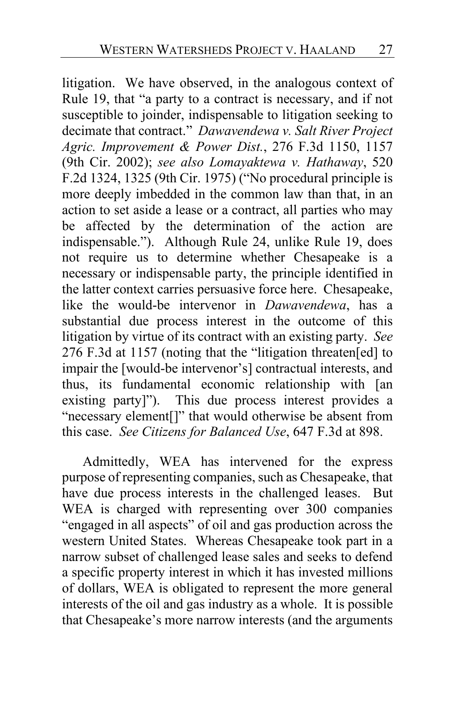litigation. We have observed, in the analogous context of Rule 19, that "a party to a contract is necessary, and if not susceptible to joinder, indispensable to litigation seeking to decimate that contract." *Dawavendewa v. Salt River Project Agric. Improvement & Power Dist.*, 276 F.3d 1150, 1157 (9th Cir. 2002); *see also Lomayaktewa v. Hathaway*, 520 F.2d 1324, 1325 (9th Cir. 1975) ("No procedural principle is more deeply imbedded in the common law than that, in an action to set aside a lease or a contract, all parties who may be affected by the determination of the action are indispensable."). Although Rule 24, unlike Rule 19, does not require us to determine whether Chesapeake is a necessary or indispensable party, the principle identified in the latter context carries persuasive force here. Chesapeake, like the would-be intervenor in *Dawavendewa*, has a substantial due process interest in the outcome of this litigation by virtue of its contract with an existing party. *See*  276 F.3d at 1157 (noting that the "litigation threaten[ed] to impair the [would-be intervenor's] contractual interests, and thus, its fundamental economic relationship with [an existing party]"). This due process interest provides a "necessary element[]" that would otherwise be absent from this case. *See Citizens for Balanced Use*, 647 F.3d at 898.

Admittedly, WEA has intervened for the express purpose of representing companies, such as Chesapeake, that have due process interests in the challenged leases. But WEA is charged with representing over 300 companies "engaged in all aspects" of oil and gas production across the western United States. Whereas Chesapeake took part in a narrow subset of challenged lease sales and seeks to defend a specific property interest in which it has invested millions of dollars, WEA is obligated to represent the more general interests of the oil and gas industry as a whole. It is possible that Chesapeake's more narrow interests (and the arguments